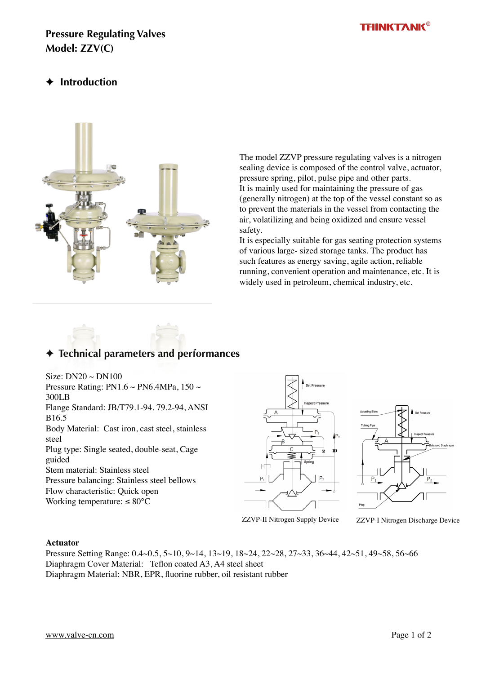#### **THINKTANK®**

### **Pressure Regulating Valves Model: ZZV(C)**

## ✦ **Introduction**



The model ZZVP pressure regulating valves is a nitrogen sealing device is composed of the control valve, actuator, pressure spring, pilot, pulse pipe and other parts. It is mainly used for maintaining the pressure of gas (generally nitrogen) at the top of the vessel constant so as to prevent the materials in the vessel from contacting the air, volatilizing and being oxidized and ensure vessel safety.

It is especially suitable for gas seating protection systems of various large- sized storage tanks. The product has such features as energy saving, agile action, reliable running, convenient operation and maintenance, etc. It is widely used in petroleum, chemical industry, etc.

# ✦ **Technical parameters and performances**

Size:  $DN20 \sim DN100$ Pressure Rating: PN1.6  $\sim$  PN6.4MPa, 150  $\sim$ 300LB Flange Standard: JB/T79.1-94. 79.2-94, ANSI B16.5 Body Material: Cast iron, cast steel, stainless steel Plug type: Single seated, double-seat, Cage guided Stem material: Stainless steel Pressure balancing: Stainless steel bellows Flow characteristic: Quick open Working temperature:  $\leq 80^{\circ}$ C





ZZVP-II Nitrogen Supply Device ZZVP-I Nitrogen Discharge Device

#### **Actuator**

Pressure Setting Range: 0.4~0.5, 5~10, 9~14, 13~19, 18~24, 22~28, 27~33, 36~44, 42~51, 49~58, 56~66 Diaphragm Cover Material: Teflon coated A3, A4 steel sheet Diaphragm Material: NBR, EPR, fluorine rubber, oil resistant rubber